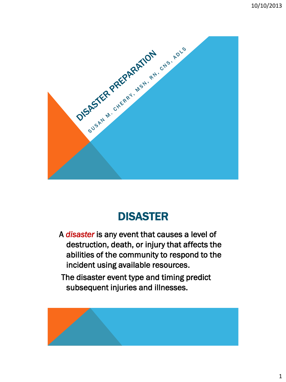

# DISASTER

A *disaster* is any event that causes a level of destruction, death, or injury that affects the abilities of the community to respond to the incident using available resources.

 The disaster event type and timing predict subsequent injuries and illnesses.

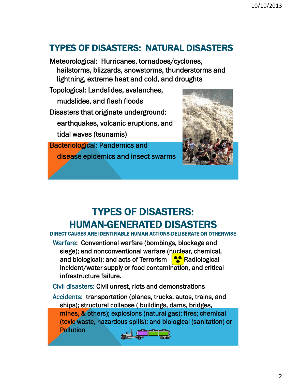## TYPES OF DISASTERS: NATURAL DISASTERS

Meteorological: Hurricanes, tornadoes/cyclones, hailstorms, blizzards, snowstorms, thunderstorms and lightning, extreme heat and cold, and droughts

Topological: Landslides, avalanches, mudslides, and flash floods Disasters that originate underground: earthquakes, volcanic eruptions, and tidal waves (tsunamis)

Bacteriological: Pandemics and disease epidemics and insect swarms



# TYPES OF DISASTERS: HUMAN-GENERATED DISASTERS DIRECT CAUSES ARE IDENTIFIABLE HUMAN ACTIONS-DELIBERATE OR OTHERWISE

Warfare: Conventional warfare (bombings, blockage and siege); and nonconventional warfare (nuclear, chemical, and biological); and acts of Terrorism  $\left| \right\rangle \bullet$  Radiological incident/water supply or food contamination, and critical infrastructure failure.

Civil disasters: Civil unrest, riots and demonstrations

Accidents: transportation (planes, trucks, autos, trains, and ships); structural collapse ( buildings, dams, bridges, mines, & others); explosions (natural gas); fires; chemical (toxic waste, hazardous spills); and biological (sanitation) or **Pollution** 

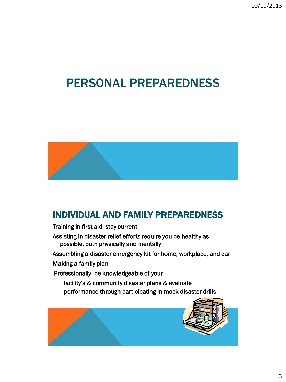10/10/2013

# PERSONAL PREPAREDNESS



### INDIVIDUAL AND FAMILY PREPAREDNESS

Training in first aid- stay current

Assisting in disaster relief efforts require you be healthy as possible, both physically and mentally

Assembling a disaster emergency kit for home, workplace, and car

Making a family plan

Professionally- be knowledgeable of your

 facility's & community disaster plans & evaluate performance through participating in mock disaster drills

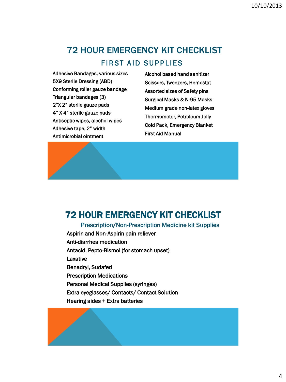## 72 HOUR EMERGENCY KIT CHECKLIST FIRST AID SUPPLIES

Adhesive Bandages, various sizes 5X9 Sterile Dressing (ABD) Conforming roller gauze bandage Triangular bandages (3) 2"X 2" sterile gauze pads 4" X 4" sterile gauze pads Antiseptic wipes, alcohol wipes Adhesive tape, 2" width Antimicrobial ointment

Alcohol based hand sanitizer Scissors, Tweezers, Hemostat Assorted sizes of Safety pins Surgical Masks & N-95 Masks Medium grade non-latex gloves Thermometer, Petroleum Jelly Cold Pack, Emergency Blanket First Aid Manual

# 72 HOUR EMERGENCY KIT CHECKLIST

i<br>I

#### Prescription/Non-Prescription Medicine kit Supplies

Aspirin and Non-Aspirin pain reliever Anti-diarrhea medication Antacid, Pepto-Bismol (for stomach upset) Laxative Benadryl, Sudafed Prescription Medications Personal Medical Supplies (syringes) Extra eyeglasses/ Contacts/ Contact Solution Hearing aides + Extra batteries

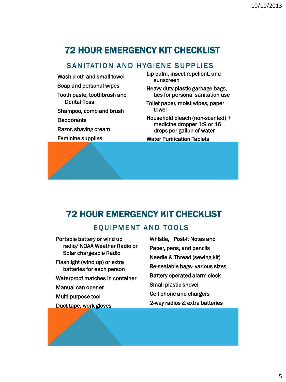# 72 HOUR EMERGENCY KIT CHECKLIST

#### SANITATION AND HYGIENE SUPPLIES

Wash cloth and small towel Soap and personal wipes Tooth paste, toothbrush and Dental floss Shampoo, comb and brush **Deodorants** Razor, shaving cream Feminine supplies

Lip balm, insect repellent, and sunscreen

Heavy duty plastic garbage bags, ties for personal sanitation use

Toilet paper, moist wipes, paper towel

Household bleach (non-scented) + medicine dropper 1:9 or 16 drops per gallon of water

Water Purification Tablets

### 72 HOUR EMERGENCY KIT CHECKLIST

#### EQUIPMENT AND TOOLS

Portable battery or wind up radio/ NOAA Weather Radio or Solar chargeable Radio Flashlight (wind up) or extra batteries for each person Waterproof matches in container Manual can opener Multi-purpose tool Duct tape, work gloves

Whistle, Post-it Notes and Paper, pens, and pencils Needle & Thread (sewing kit) Re-sealable bags- various sizes Battery operated alarm clock Small plastic shovel Cell phone and chargers 2-way radios & extra batteries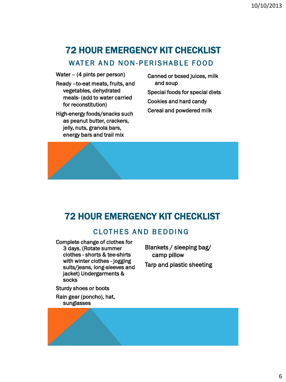# 72 HOUR EMERGENCY KIT CHECKLIST

### WATER AND NON-PERISHABLE FOOD

Water – (4 pints per person)

- Ready –to-eat meats, fruits, and vegetables, dehydrated meals- (add to water carried for reconstitution)
- High-energy foods/snacks such as peanut butter, crackers, jelly, nuts, granola bars, energy bars and trail mix
- Canned or boxed juices, milk and soup Special foods for special diets Cookies and hard candy Cereal and powdered milk



### 72 HOUR EMERGENCY KIT CHECKLIST

### CLOTHES AND BEDDING

Complete change of clothes for 3 days. (Rotate summer clothes - shorts & tee-shirts with winter clothes - jogging suits/jeans, long-sleeves and jacket) Undergarments & socks

Blankets / sleeping bag/ camp pillow Tarp and plastic sheeting

Sturdy shoes or boots

Rain gear (poncho), hat, sunglasses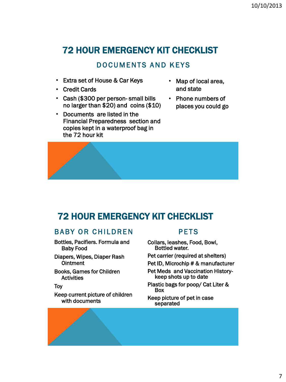### 72 HOUR EMERGENCY KIT CHECKLIST

#### DOCUMENTS AND KEYS

- Extra set of House & Car Keys
- Credit Cards
- Cash (\$300 per person- small bills no larger than \$20) and coins (\$10)
- Documents are listed in the Financial Preparedness section and copies kept in a waterproof bag in the 72 hour kit
- Map of local area, and state
- Phone numbers of places you could go



### 72 HOUR EMERGENCY KIT CHECKLIST

#### BABY OR CHILDREN

- Bottles, Pacifiers. Formula and Baby Food
- Diapers, Wipes, Diaper Rash Ointment
- Books, Games for Children **Activities**

#### Toy

Keep current picture of children with documents

#### PETS

- Collars, leashes, Food, Bowl, Bottled water.
- Pet carrier (required at shelters)
- Pet ID, Microchip # & manufacturer
- Pet Meds and Vaccination History- keep shots up to date
- Plastic bags for poop/ Cat Liter & Box

#### Keep picture of pet in case separated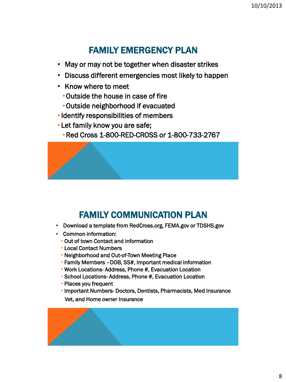### FAMILY EMERGENCY PLAN

- May or may not be together when disaster strikes
- Discuss different emergencies most likely to happen
- Know where to meet
	- •Outside the house in case of fire
	- •Outside neighborhood if evacuated
- •Identify responsibilities of members
- Let family know you are safe;
	- •Red Cross 1-800-RED-CROSS or 1-800-733-2767

## FAMILY COMMUNICATION PLAN

- Download a template from RedCross.org, FEMA.gov or TDSHS.gov
- Common information:

Ī

- Out of town Contact and information
- Local Contact Numbers
- Neighborhood and Out-of-Town Meeting Place
- Family Members –DOB, SS#, Important medical information
- Work Locations- Address, Phone #, Evacuation Location
- School Locations- Address, Phone #, Evacuation Location
- Places you frequent
- Important Numbers- Doctors, Dentists, Pharmacists, Med Insurance Vet, and Home owner Insurance

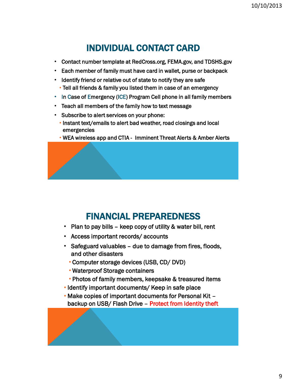### INDIVIDUAL CONTACT CARD

- Contact number template at RedCross.org, FEMA.gov, and TDSHS.gov
- Each member of family must have card in wallet, purse or backpack
- Identify friend or relative out of state to notify they are safe • Tell all friends & family you listed them in case of an emergency
- In Case of Emergency (ICE) Program Cell phone in all family members
- Teach all members of the family how to text message
- Subscribe to alert services on your phone:
	- Instant text/emails to alert bad weather, road closings and local emergencies
	- WEA wireless app and CTIA Imminent Threat Alerts & Amber Alerts

### FINANCIAL PREPAREDNESS

- Plan to pay bills keep copy of utility & water bill, rent
- Access important records/ accounts
- Safeguard valuables due to damage from fires, floods, and other disasters
	- Computer storage devices (USB, CD/ DVD)
	- Waterproof Storage containers
	- Photos of family members, keepsake & treasured items
- Identify important documents/ Keep in safe place
- Make copies of important documents for Personal Kit backup on USB/ Flash Drive – Protect from Identity theft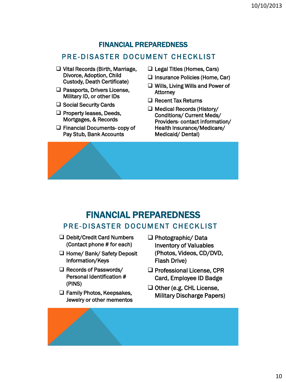#### FINANCIAL PREPAREDNESS

#### PRE-DISASTER DOCUMENT CHECKLIST

- □ Vital Records (Birth, Marriage, Divorce, Adoption, Child Custody, Death Certificate)
- □ Passports, Drivers License, Military ID, or other IDs
- $\square$  Social Security Cards
- $\Box$  Property leases, Deeds, Mortgages, & Records
- □ Financial Documents- copy of Pay Stub, Bank Accounts
- $\Box$  Legal Titles (Homes, Cars)
- $\Box$  Insurance Policies (Home, Car)
- Wills, Living Wills and Power of **Attorney**
- $\Box$  Recent Tax Returns
- $\Box$  Medical Records (History/ Conditions/ Current Meds/ Providers- contact information/ Health Insurance/Medicare/ Medicaid/ Dental)

### FINANCIAL PREPAREDNESS PRE -DISASTER DOCUMENT CHECKLIST

- □ Debit/Credit Card Numbers (Contact phone # for each)
- □ Home/ Bank/ Safety Deposit Information/Keys
- $\Box$  Records of Passwords/ Personal Identification # (PINS)
- $\Box$  Family Photos, Keepsakes, Jewelry or other mementos
- $\Box$  Photographic/ Data Inventory of Valuables (Photos, Videos, CD/DVD, Flash Drive)
- $\Box$  Professional License, CPR Card, Employee ID Badge
- $\Box$  Other (e.g. CHL License, Military Discharge Papers)

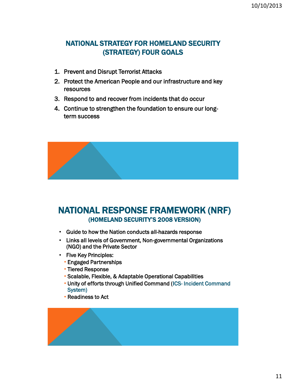### NATIONAL STRATEGY FOR HOMELAND SECURITY (STRATEGY) FOUR GOALS

- 1. Prevent and Disrupt Terrorist Attacks
- 2. Protect the American People and our infrastructure and key resources
- 3. Respond to and recover from incidents that do occur
- 4. Continue to strengthen the foundation to ensure our longterm success



### NATIONAL RESPONSE FRAMEWORK (NRF) (HOMELAND SECURITY'S 2008 VERSION)

- Guide to how the Nation conducts all-hazards response
- Links all levels of Government, Non-governmental Organizations (NGO) and the Private Sector
- Five Key Principles:
	- Engaged Partnerships
	- Tiered Response
	- Scalable, Flexible, & Adaptable Operational Capabilities
	- Unity of efforts through Unified Command (ICS- Incident Command System)
	- Readiness to Act

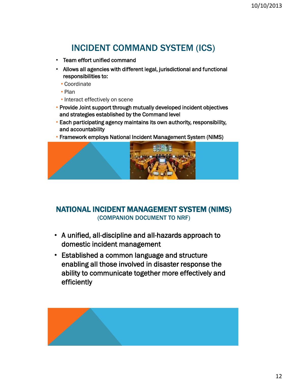### INCIDENT COMMAND SYSTEM (ICS)

- Team effort unified command
- Allows all agencies with different legal, jurisdictional and functional responsibilities to:
	- Coordinate
	- Plan
	- Interact effectively on scene
- Provide Joint support through mutually developed incident objectives and strategies established by the Command level
- Each participating agency maintains its own authority, responsibility, and accountability
- Framework employs National Incident Management System (NIMS)



#### NATIONAL INCIDENT MANAGEMENT SYSTEM (NIMS) (COMPANION DOCUMENT TO NRF)

- A unified, all-discipline and all-hazards approach to domestic incident management
- Established a common language and structure enabling all those involved in disaster response the ability to communicate together more effectively and efficiently

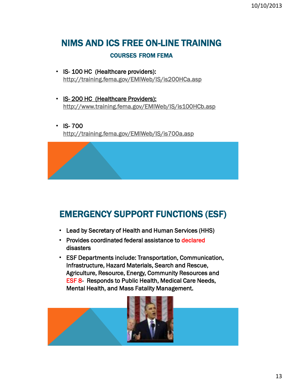# NIMS AND ICS FREE ON-LINE TRAINING

#### COURSES FROM FEMA

- IS- 100 HC (Healthcare providers): <http://training.fema.gov/EMIWeb/IS/is200HCa.asp>
- IS- 200 HC (Healthcare Providers): <http://www.training.fema.gov/EMIWeb/IS/is100HCb.asp>
- IS- 700 <http://training.fema.gov/EMIWeb/IS/is700a.asp>

## EMERGENCY SUPPORT FUNCTIONS (ESF)

- Lead by Secretary of Health and Human Services (HHS)
- Provides coordinated federal assistance to declared disasters
- ESF Departments include: Transportation, Communication, Infrastructure, Hazard Materials, Search and Rescue, Agriculture, Resource, Energy, Community Resources and ESF 8- Responds to Public Health, Medical Care Needs, Mental Health, and Mass Fatality Management.

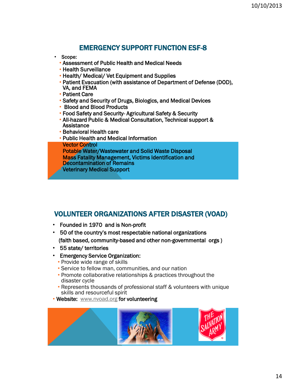### EMERGENCY SUPPORT FUNCTION ESF-8

- Scope:
	- Assessment of Public Health and Medical Needs
	- Health Surveillance
	- Health/ Medical/ Vet Equipment and Supplies
	- Patient Evacuation (with assistance of Department of Defense (DOD), VA, and FEMA
	- Patient Care
	- Safety and Security of Drugs, Biologics, and Medical Devices
	- Blood and Blood Products
	- Food Safety and Security- Agricultural Safety & Security
	- All-hazard Public & Medical Consultation, Technical support & **Assistance**
	- Behavioral Health care
	- Public Health and Medical Information **Vector Control** • Potable Water/Wastewater and Solid Waste Disposal • Mass Fatality Management, Victims Identification and
		- Decontamination of Remains
	- Veterinary Medical Support

#### VOLUNTEER ORGANIZATIONS AFTER DISASTER (VOAD)

- Founded in 1970 and is Non-profit
- 50 of the country's most respectable national organizations (faith based, community-based and other non-governmental orgs )
- 55 state/ territories
- Emergency Service Organization:
	- Provide wide range of skills
	- Service to fellow man, communities, and our nation
	- Promote collaborative relationships & practices throughout the disaster cycle
	- Represents thousands of professional staff & volunteers with unique skills and resourceful spirit
- Website: [www.nvoad.org](http://www.nvoad.org/) for volunteering

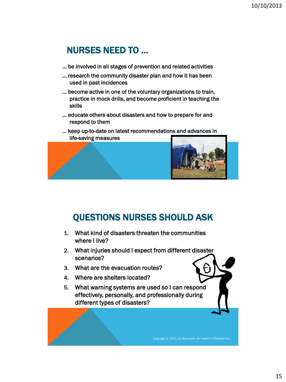### NURSES NEED TO …

- … be involved in all stages of prevention and related activities
- … research the community disaster plan and how it has been used in past incidences
- … become active in one of the voluntary organizations to train, practice in mock drills, and become proficient in teaching the skills
- … educate others about disasters and how to prepare for and respond to them
- … keep up-to-date on latest recommendations and advances in life-saving measures



## QUESTIONS NURSES SHOULD ASK

- 1. What kind of disasters threaten the communities where I live?
- 2. What injuries should I expect from different disaster scenarios?
- 3. What are the evacuation routes?
- 4. Where are shelters located?
- 5. What warning systems are used so I can respond effectively, personally, and professionally during different types of disasters?

Copyright © 2011, by Saunders, an imprint of Elsevier Inc.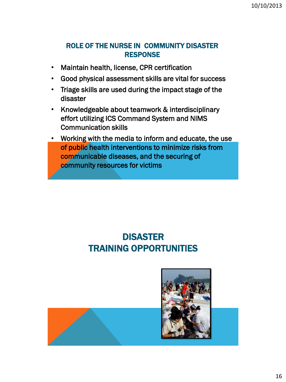#### ROLE OF THE NURSE IN COMMUNITY DISASTER **RESPONSE**

- Maintain health, license, CPR certification
- Good physical assessment skills are vital for success
- Triage skills are used during the impact stage of the disaster
- Knowledgeable about teamwork & interdisciplinary effort utilizing ICS Command System and NIMS Communication skills
- Working with the media to inform and educate, the use of public health interventions to minimize risks from communicable diseases, and the securing of community resources for victims

## DISASTER TRAINING OPPORTUNITIES

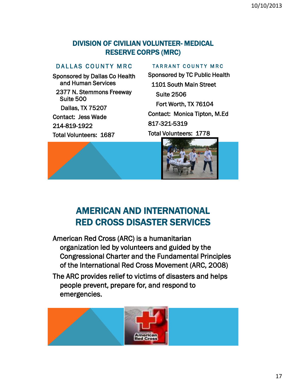#### DIVISION OF CIVILIAN VOLUNTEER- MEDICAL RESERVE CORPS (MRC)

#### DALLAS COUNTY MRC

Sponsored by Dallas Co Health and Human Services

 2377 N. Stemmons Freeway Suite 500

Dallas, TX 75207

Contact: Jess Wade

214-819-1922

Total Volunteers: 1687

#### TARRANT COUNTY MRC

Sponsored by TC Public Health 1101 South Main Street Suite 2506 Fort Worth, TX 76104 Contact: Monica Tipton, M.Ed 817-321-5319 Total Volunteers: 1778





### AMERICAN AND INTERNATIONAL RED CROSS DISASTER SERVICES

American Red Cross (ARC) is a humanitarian organization led by volunteers and guided by the Congressional Charter and the Fundamental Principles of the International Red Cross Movement (ARC, 2008)

The ARC provides relief to victims of disasters and helps people prevent, prepare for, and respond to emergencies.

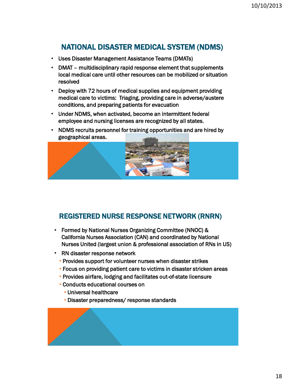### NATIONAL DISASTER MEDICAL SYSTEM (NDMS)

- Uses Disaster Management Assistance Teams (DMATs)
- DMAT multidisciplinary rapid response element that supplements local medical care until other resources can be mobilized or situation resolved
- Deploy with 72 hours of medical supplies and equipment providing medical care to victims: Triaging, providing care in adverse/austere conditions, and preparing patients for evacuation
- Under NDMS, when activated, become an intermittent federal employee and nursing licenses are recognized by all states.
- NDMS recruits personnel for training opportunities and are hired by geographical areas.



### REGISTERED NURSE RESPONSE NETWORK (RNRN)

- Formed by National Nurses Organizing Committee (NNOC) & California Nurses Association (CAN) and coordinated by National Nurses United (largest union & professional association of RNs in US)
- RN disaster response network
	- Provides support for volunteer nurses when disaster strikes
	- Focus on providing patient care to victims in disaster stricken areas
	- Provides airfare, lodging and facilitates out-of-state licensure
	- Conducts educational courses on
		- Universal healthcare
		- Disaster preparedness/ response standards

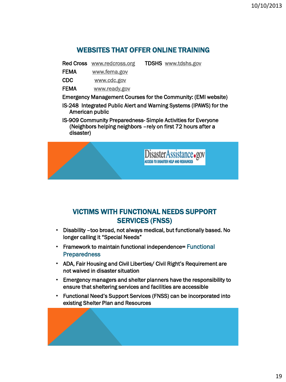#### WEBSITES THAT OFFER ONLINE TRAINING

Red Cross [www.redcross.org](http://www.redcross.org/) TDSHS [www.tdshs.gov](http://www.tdshs.gov/)

- FEMA [www.fema.gov](http://www.fema.gov/)
- CDC [www.cdc.gov](http://www.cdc.gov/)
- FEMA www.ready.gov
- Emergency Management Courses for the Community: (EMI website)
- IS-248 Integrated Public Alert and Warning Systems (IPAWS) for the American public
- IS-909 Community Preparedness- Simple Activities for Everyone (Neighbors helping neighbors –rely on first 72 hours after a disaster)



### VICTIMS WITH FUNCTIONAL NEEDS SUPPORT SERVICES (FNSS)

- Disability –too broad, not always medical, but functionally based. No longer calling it "Special Needs"
- Framework to maintain functional independence= Functional **Preparedness**
- ADA, Fair Housing and Civil Liberties/ Civil Right's Requirement are not waived in disaster situation
- Emergency managers and shelter planners have the responsibility to ensure that sheltering services and facilities are accessible
- Functional Need's Support Services (FNSS) can be incorporated into existing Shelter Plan and Resources

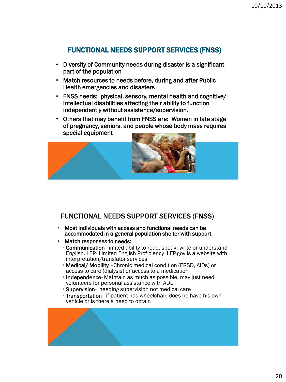#### FUNCTIONAL NEEDS SUPPORT SERVICES (FNSS)

- Diversity of Community needs during disaster is a significant part of the population
- Match resources to needs before, during and after Public Health emergencies and disasters
- FNSS needs: physical, sensory, mental health and cognitive/ intellectual disabilities affecting their ability to function independently without assistance/supervision.
- Others that may benefit from FNSS are: Women in late stage of pregnancy, seniors, and people whose body mass requires special equipment



#### FUNCTIONAL NEEDS SUPPORT SERVICES (FNSS)

- Most individuals with access and functional needs can be accommodated in a general population shelter with support
- Match responses to needs:
	- Communication- limited ability to read, speak, write or understand English. LEP- Limited English Proficiency LEP.gov is a website with interpretation/translator services
	- Medical/ Mobility –Chronic medical condition (ERSD, AIDs) or access to care (dialysis) or access to a medication
	- Independence- Maintain as much as possible, may just need volunteers for personal assistance with ADL
	- Supervision- needing supervision not medical care
	- Transportation- if patient has wheelchair, does he have his own vehicle or is there a need to obtain

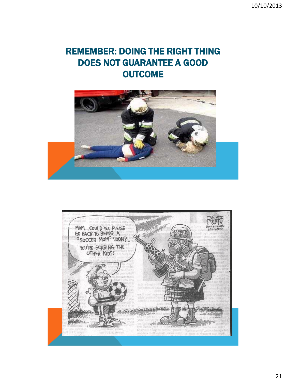## REMEMBER: DOING THE RIGHT THING DOES NOT GUARANTEE A GOOD **OUTCOME**